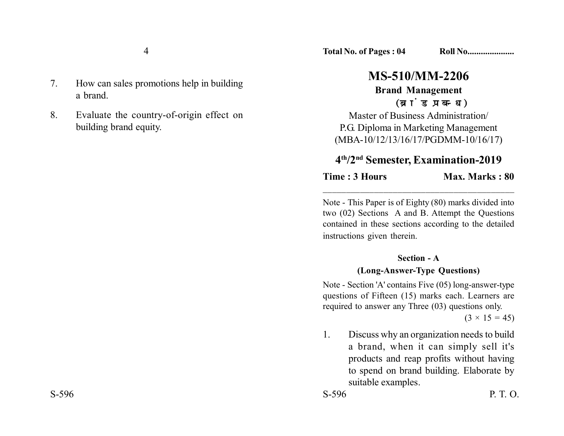- 7. How can sales promotions help in building a brand.
- 8. Evaluate the country-of-origin effect on building brand equity.

# **MS-510/MM-2206**

#### **Brand Management** (ब्रांड प्रबन्ध)

Master of Business Administration/ P.G. Diploma in Marketing Management (MBA-10/12/13/16/17/PGDMM-10/16/17)

## **4th/2nd Semester, Examination-2019**

**Time : 3 Hours Max. Marks : 80** 

Note - This Paper is of Eighty (80) marks divided into two (02) Sections A and B. Attempt the Questions contained in these sections according to the detailed instructions given therein.

\_\_\_\_\_\_\_\_\_\_\_\_\_\_\_\_\_\_\_\_\_\_\_\_\_\_\_\_\_\_\_\_\_\_\_\_\_\_\_\_\_

### **Section - A (Long-Answer-Type Questions)**

Note - Section 'A' contains Five (05) long-answer-type questions of Fifteen (15) marks each. Learners are required to answer any Three (03) questions only.

 $(3 \times 15 = 45)$ 

1. Discuss why an organization needs to build a brand, when it can simply sell it's products and reap profits without having to spend on brand building. Elaborate by suitable examples.